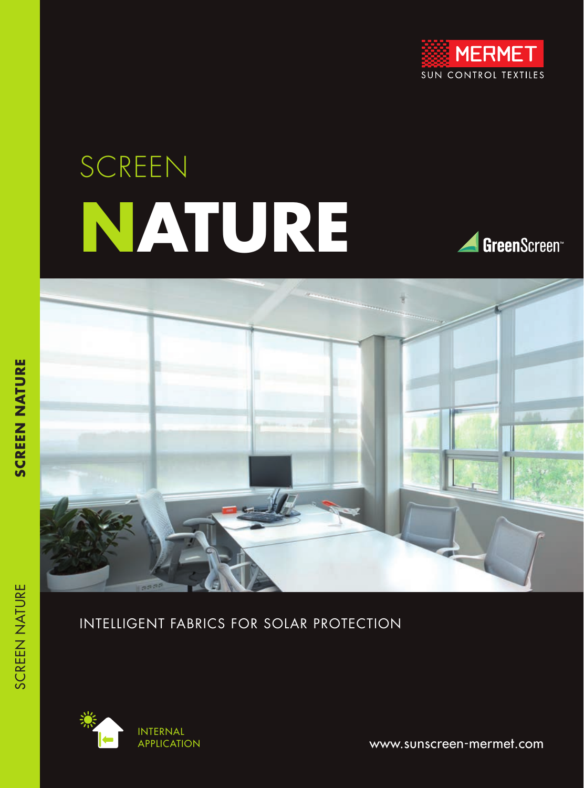





## SCREEN NATURE INTELLIGENT FABRICS FOR SOLAR PROTECTION



www.sunscreen-mermet.com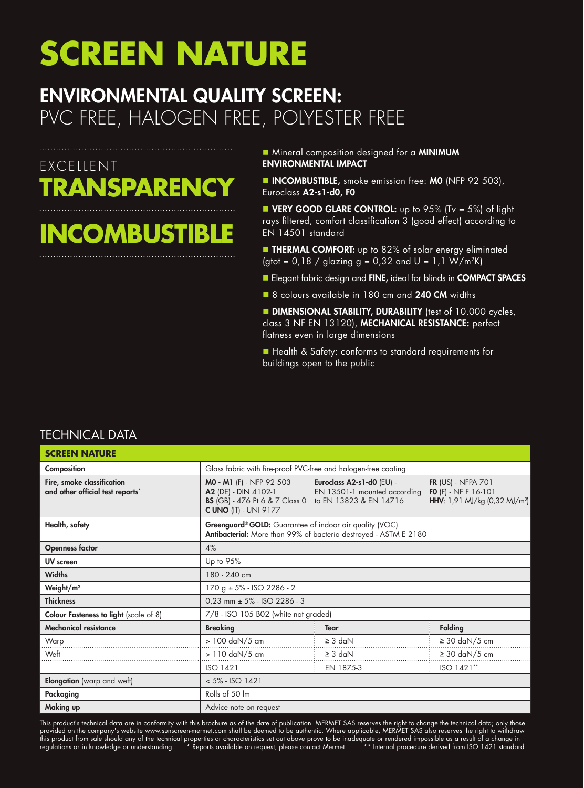#### ENVIRONMENTAL QUALITY SCREEN: PVC FREE, HALOGEN FREE, POLYESTER FREE

#### EXCELLENT **TRANSPARENCY**

#### **INCOMBUSTIBLE**

■ Mineral composition designed for a MINIMUM ENVIRONMENTAL IMPACT

**N INCOMBUSTIBLE, smoke emission free: MO (NFP 92 503),** Euroclass A2-s1-d0, F0

**NORGOOD GLARE CONTROL:** up to 95% (Tv =  $5\%$ ) of light rays filtered, comfort classification 3 (good effect) according to EN 14501 standard

**E** THERMAL COMFORT: up to 82% of solar energy eliminated (gtot =  $0,18 /$  glazing g =  $0,32$  and U =  $1,1$  W/m<sup>2</sup>K)

Elegant fabric design and FINE, ideal for blinds in COMPACT SPACES

■ 8 colours available in 180 cm and 240 CM widths

**DIMENSIONAL STABILITY, DURABILITY** (test of 10.000 cycles, class 3 NF EN 13120), MECHANICAL RESISTANCE: perfect flatness even in large dimensions

■ Health & Safety: conforms to standard requirements for buildings open to the public

#### TECHNICAL DATA

| <b>SCREEN NATURE</b>                                           |                                                                                                                             |                                                                                     |                                                                                                         |  |  |  |  |
|----------------------------------------------------------------|-----------------------------------------------------------------------------------------------------------------------------|-------------------------------------------------------------------------------------|---------------------------------------------------------------------------------------------------------|--|--|--|--|
| Composition                                                    | Glass fabric with fire-proof PVC-free and halogen-free coating                                                              |                                                                                     |                                                                                                         |  |  |  |  |
| Fire, smoke classification<br>and other official test reports* | MO - M1 (F) - NFP 92 503<br>A2 (DE) - DIN 4102-1<br><b>BS</b> (GB) - 476 Pt 6 & 7 Class 0<br><b>C UNO (IT) - UNI 9177</b>   | Euroclass A2-s1-d0 (EU) -<br>EN 13501-1 mounted according<br>to EN 13823 & EN 14716 | <b>FR (US) - NFPA 701</b><br><b>FO</b> $(F)$ - NF F 16-101<br>HHV: 1,91 MJ/kg (0,32 MJ/m <sup>2</sup> ) |  |  |  |  |
| Health, safety                                                 | Greenguard® GOLD: Guarantee of indoor air quality (VOC)<br>Antibacterial: More than 99% of bacteria destroyed - ASTM E 2180 |                                                                                     |                                                                                                         |  |  |  |  |
| <b>Openness factor</b>                                         | 4%                                                                                                                          |                                                                                     |                                                                                                         |  |  |  |  |
| UV screen                                                      | Up to 95%                                                                                                                   |                                                                                     |                                                                                                         |  |  |  |  |
| <b>Widths</b>                                                  | 180 - 240 cm                                                                                                                |                                                                                     |                                                                                                         |  |  |  |  |
| Weight/m <sup>2</sup>                                          | $170 g \pm 5\%$ - ISO 2286 - 2                                                                                              |                                                                                     |                                                                                                         |  |  |  |  |
| <b>Thickness</b>                                               | $0,23$ mm $\pm$ 5% - ISO 2286 - 3                                                                                           |                                                                                     |                                                                                                         |  |  |  |  |
| <b>Colour Fasteness to light</b> (scale of 8)                  | 7/8 - ISO 105 B02 (white not graded)                                                                                        |                                                                                     |                                                                                                         |  |  |  |  |
| <b>Mechanical resistance</b>                                   | <b>Breaking</b>                                                                                                             | <b>Tear</b>                                                                         | <b>Folding</b>                                                                                          |  |  |  |  |
| Warp                                                           | > 100 daN/5 cm                                                                                                              | $\geq$ 3 daN                                                                        | $\geq 30$ daN/5 cm                                                                                      |  |  |  |  |
| Weft                                                           | $> 110$ daN/5 cm                                                                                                            | $\geq$ 3 daN                                                                        | $\geq$ 30 daN/5 cm                                                                                      |  |  |  |  |
|                                                                | <b>ISO 1421</b>                                                                                                             | EN 1875-3                                                                           | ISO 1421**                                                                                              |  |  |  |  |
| Elongation (warp and weft)                                     | $< 5\% - ISO 1421$                                                                                                          |                                                                                     |                                                                                                         |  |  |  |  |
| Packaging                                                      | Rolls of 50 lm                                                                                                              |                                                                                     |                                                                                                         |  |  |  |  |
| Making up                                                      | Advice note on request                                                                                                      |                                                                                     |                                                                                                         |  |  |  |  |

This product's technical data are in conformity with this brochure as of the date of publication. MERMET SAS reserves the right to change the technical data; only those provided on the company's website www.sunscreen-mermet.com shall be deemed to be authentic. Where applicable, MERMET SAS also reserves the right to withdraw this product from sale should any of the technical properties or characteristics set out above prove to be inadequate or rendered impossible as a result of a change in regulations or in knowledge or understanding. \* Reports available on request, please contact Mermet \*\* Internal procedure derived from ISO 1421 standard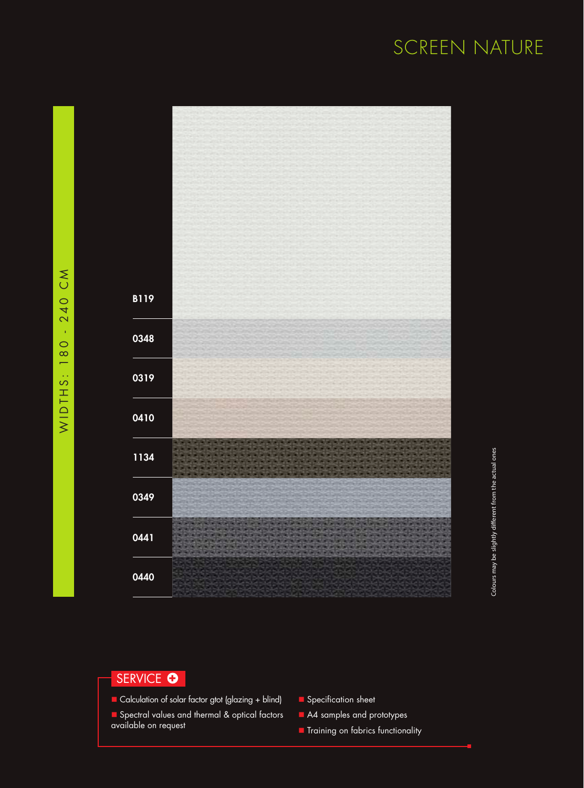

#### SERVICE **O**

- Calculation of solar factor gtot (glazing + blind)
- **n** Spectral values and thermal & optical factors available on request
- **n** Specification sheet
- A4 samples and prototypes
- **n** Training on fabrics functionality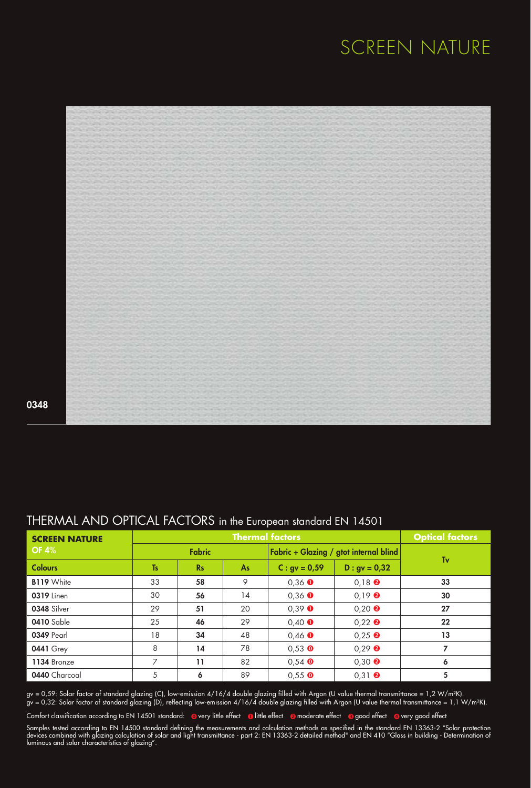

0348

| <b>SCREEN NATURE</b> | <b>Thermal factors</b> |           |                                        |                  |                                      | <b>Optical factors</b> |
|----------------------|------------------------|-----------|----------------------------------------|------------------|--------------------------------------|------------------------|
| <b>OF 4%</b>         | <b>Fabric</b>          |           | Fabric + Glazing / gtot internal blind |                  | Tv                                   |                        |
| <b>Colours</b>       | <b>Ts</b>              | <b>Rs</b> | As                                     | $C: gy = 0.59$   | $D : gv = 0,32$                      |                        |
| <b>B119</b> White    | 33                     | 58        | 9                                      | $0.36$ O         | $0.18$ $\odot$                       | 33                     |
| 0319 Linen           | 30                     | 56        | 14                                     | $0,36$ $\bullet$ | $0.19$ <b><math>\odot</math></b>     | 30                     |
| 0348 Silver          | 29                     | 51        | 20                                     | $0.39$ O         | $0.20$ $\odot$                       | 27                     |
| 0410 Sable           | 25                     | 46        | 29                                     | $0,40$ $\bullet$ | $0.22$ <b><math>\odot</math></b>     | 22                     |
| 0349 Pearl           | 18                     | 34        | 48                                     | $0.46$ O         | $0.25$ $\bullet$                     | 13                     |
| <b>0441 Grey</b>     | 8                      | 14        | 78                                     | $0.53$ O         | $0.29$ <b><math>\odot</math></b>     |                        |
| 1134 Bronze          | $\overline{7}$         | 11        | 82                                     | $0.54$ O         | $0.30$ <sup><math>\odot</math></sup> | 6                      |
| 0440 Charcoal        | 5                      | 6         | 89                                     | $0.55$ O         | $0,31$ <sup><math>\odot</math></sup> | 5                      |

#### THERMAL AND OPTICAL FACTORS in the European standard EN 14501

gv = 0,59: Solar factor of standard glazing (C), low-emission 4/16/4 double glazing filled with Argon (U value thermal transmittance = 1,2 W/m²K). gv = 0,32: Solar factor of standard glazing (D), reflecting low-emission 4/16/4 double glazing filled with Argon (U value thermal transmittance = 1,1 W/m²K).

Comfort classification according to EN 14501 standard: overy little effect olittle effect a moderate effect a good effect overy good effect

Samples tested according to EN 14500 standard defining the measurements and calculation methods as specified in the standard EN 13363-2 "Solar protection devices combined with glazing calculation of solar and light transmittance - part 2: EN 13363-2 detailed method" and EN 410 "Glass in building - Determination of luminous and solar characteristics of glazing".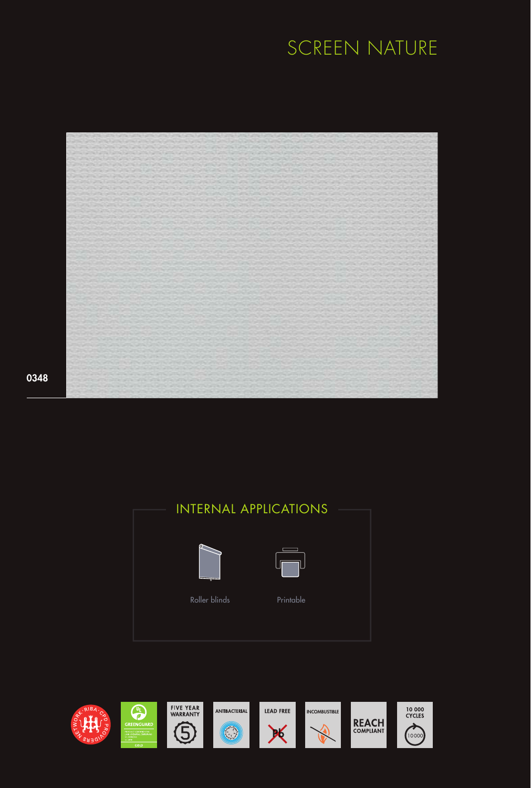

# Roller blinds Printable INTERNAL APPLICATIONS



0348